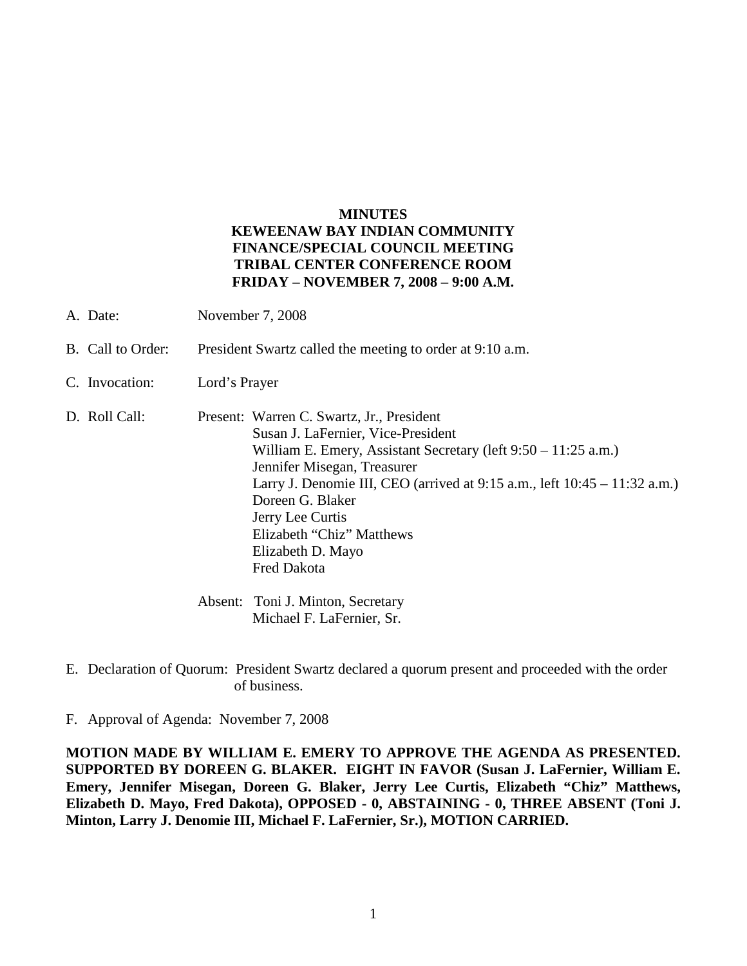## **MINUTES KEWEENAW BAY INDIAN COMMUNITY FINANCE/SPECIAL COUNCIL MEETING TRIBAL CENTER CONFERENCE ROOM FRIDAY – NOVEMBER 7, 2008 – 9:00 A.M.**

- A. Date: November 7, 2008
- B. Call to Order: President Swartz called the meeting to order at 9:10 a.m.
- C. Invocation: Lord's Prayer
- D. Roll Call: Present: Warren C. Swartz, Jr., President Susan J. LaFernier, Vice-President William E. Emery, Assistant Secretary (left 9:50 – 11:25 a.m.) Jennifer Misegan, Treasurer Larry J. Denomie III, CEO (arrived at 9:15 a.m., left 10:45 – 11:32 a.m.) Doreen G. Blaker Jerry Lee Curtis Elizabeth "Chiz" Matthews Elizabeth D. Mayo Fred Dakota Absent: Toni J. Minton, Secretary Michael F. LaFernier, Sr.
- E. Declaration of Quorum: President Swartz declared a quorum present and proceeded with the order of business.
- F. Approval of Agenda: November 7, 2008

**MOTION MADE BY WILLIAM E. EMERY TO APPROVE THE AGENDA AS PRESENTED. SUPPORTED BY DOREEN G. BLAKER. EIGHT IN FAVOR (Susan J. LaFernier, William E. Emery, Jennifer Misegan, Doreen G. Blaker, Jerry Lee Curtis, Elizabeth "Chiz" Matthews, Elizabeth D. Mayo, Fred Dakota), OPPOSED - 0, ABSTAINING - 0, THREE ABSENT (Toni J. Minton, Larry J. Denomie III, Michael F. LaFernier, Sr.), MOTION CARRIED.**